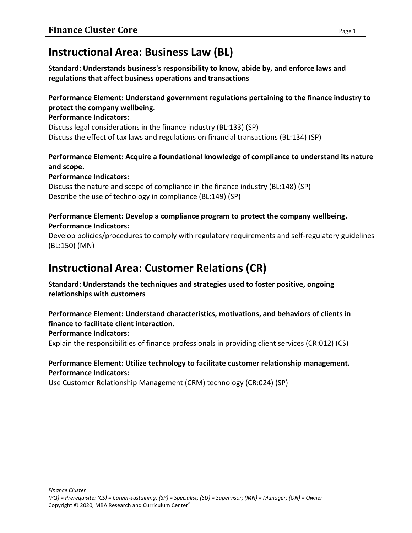# **Instructional Area: Business Law (BL)**

**Standard: Understands business's responsibility to know, abide by, and enforce laws and regulations that affect business operations and transactions**

# **Performance Element: Understand government regulations pertaining to the finance industry to protect the company wellbeing.**

#### **Performance Indicators:**

Discuss legal considerations in the finance industry (BL:133) (SP) Discuss the effect of tax laws and regulations on financial transactions (BL:134) (SP)

# **Performance Element: Acquire a foundational knowledge of compliance to understand its nature and scope.**

### **Performance Indicators:**

Discuss the nature and scope of compliance in the finance industry (BL:148) (SP) Describe the use of technology in compliance (BL:149) (SP)

### **Performance Element: Develop a compliance program to protect the company wellbeing. Performance Indicators:**

Develop policies/procedures to comply with regulatory requirements and self-regulatory guidelines (BL:150) (MN)

# **Instructional Area: Customer Relations (CR)**

**Standard: Understands the techniques and strategies used to foster positive, ongoing relationships with customers**

### **Performance Element: Understand characteristics, motivations, and behaviors of clients in finance to facilitate client interaction.**

# **Performance Indicators:**

Explain the responsibilities of finance professionals in providing client services (CR:012) (CS)

# **Performance Element: Utilize technology to facilitate customer relationship management. Performance Indicators:**

Use Customer Relationship Management (CRM) technology (CR:024) (SP)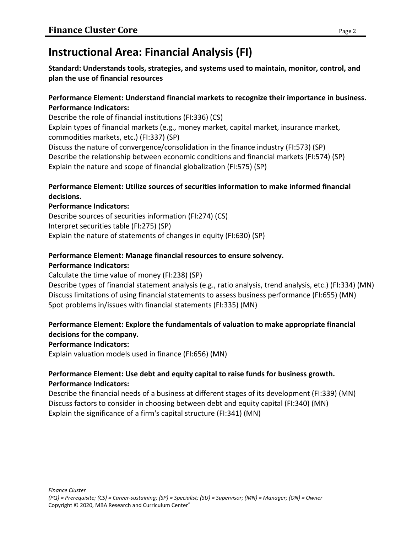# **Instructional Area: Financial Analysis (FI)**

**Standard: Understands tools, strategies, and systems used to maintain, monitor, control, and plan the use of financial resources**

### **Performance Element: Understand financial markets to recognize their importance in business. Performance Indicators:**

Describe the role of financial institutions (FI:336) (CS)

Explain types of financial markets (e.g., money market, capital market, insurance market, commodities markets, etc.) (FI:337) (SP)

Discuss the nature of convergence/consolidation in the finance industry (FI:573) (SP) Describe the relationship between economic conditions and financial markets (FI:574) (SP) Explain the nature and scope of financial globalization (FI:575) (SP)

# **Performance Element: Utilize sources of securities information to make informed financial decisions.**

# **Performance Indicators:**

Describe sources of securities information (FI:274) (CS) Interpret securities table (FI:275) (SP) Explain the nature of statements of changes in equity (FI:630) (SP)

# **Performance Element: Manage financial resources to ensure solvency.**

### **Performance Indicators:**

Calculate the time value of money (FI:238) (SP)

Describe types of financial statement analysis (e.g., ratio analysis, trend analysis, etc.) (FI:334) (MN) Discuss limitations of using financial statements to assess business performance (FI:655) (MN) Spot problems in/issues with financial statements (FI:335) (MN)

# **Performance Element: Explore the fundamentals of valuation to make appropriate financial decisions for the company.**

# **Performance Indicators:**

Explain valuation models used in finance (FI:656) (MN)

# **Performance Element: Use debt and equity capital to raise funds for business growth. Performance Indicators:**

Describe the financial needs of a business at different stages of its development (FI:339) (MN) Discuss factors to consider in choosing between debt and equity capital (FI:340) (MN) Explain the significance of a firm's capital structure (FI:341) (MN)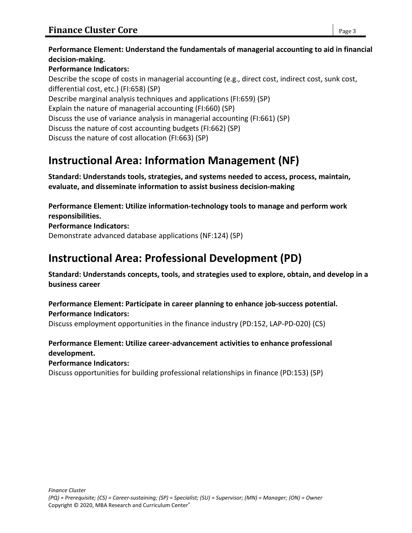# **Performance Element: Understand the fundamentals of managerial accounting to aid in financial decision-making.**

# **Performance Indicators:**

Describe the scope of costs in managerial accounting (e.g., direct cost, indirect cost, sunk cost, differential cost, etc.) (FI:658) (SP) Describe marginal analysis techniques and applications (FI:659) (SP) Explain the nature of managerial accounting (FI:660) (SP) Discuss the use of variance analysis in managerial accounting (FI:661) (SP) Discuss the nature of cost accounting budgets (FI:662) (SP) Discuss the nature of cost allocation (FI:663) (SP)

# **Instructional Area: Information Management (NF)**

**Standard: Understands tools, strategies, and systems needed to access, process, maintain, evaluate, and disseminate information to assist business decision-making**

**Performance Element: Utilize information-technology tools to manage and perform work responsibilities.**

**Performance Indicators:** Demonstrate advanced database applications (NF:124) (SP)

# **Instructional Area: Professional Development (PD)**

**Standard: Understands concepts, tools, and strategies used to explore, obtain, and develop in a business career**

**Performance Element: Participate in career planning to enhance job-success potential. Performance Indicators:**

Discuss employment opportunities in the finance industry (PD:152, LAP-PD-020) (CS)

# **Performance Element: Utilize career-advancement activities to enhance professional development.**

**Performance Indicators:**

Discuss opportunities for building professional relationships in finance (PD:153) (SP)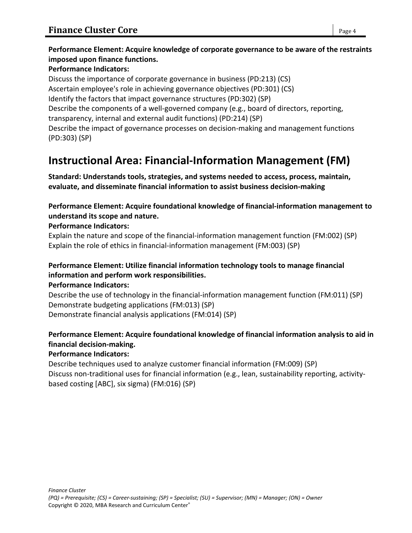# **Performance Element: Acquire knowledge of corporate governance to be aware of the restraints imposed upon finance functions.**

### **Performance Indicators:**

Discuss the importance of corporate governance in business (PD:213) (CS) Ascertain employee's role in achieving governance objectives (PD:301) (CS) Identify the factors that impact governance structures (PD:302) (SP) Describe the components of a well-governed company (e.g., board of directors, reporting, transparency, internal and external audit functions) (PD:214) (SP) Describe the impact of governance processes on decision-making and management functions (PD:303) (SP)

# **Instructional Area: Financial-Information Management (FM)**

**Standard: Understands tools, strategies, and systems needed to access, process, maintain, evaluate, and disseminate financial information to assist business decision-making**

### **Performance Element: Acquire foundational knowledge of financial-information management to understand its scope and nature.**

### **Performance Indicators:**

Explain the nature and scope of the financial-information management function (FM:002) (SP) Explain the role of ethics in financial-information management (FM:003) (SP)

# **Performance Element: Utilize financial information technology tools to manage financial information and perform work responsibilities.**

**Performance Indicators:**

Describe the use of technology in the financial-information management function (FM:011) (SP) Demonstrate budgeting applications (FM:013) (SP) Demonstrate financial analysis applications (FM:014) (SP)

# **Performance Element: Acquire foundational knowledge of financial information analysis to aid in financial decision-making.**

#### **Performance Indicators:**

Describe techniques used to analyze customer financial information (FM:009) (SP) Discuss non-traditional uses for financial information (e.g., lean, sustainability reporting, activitybased costing [ABC], six sigma) (FM:016) (SP)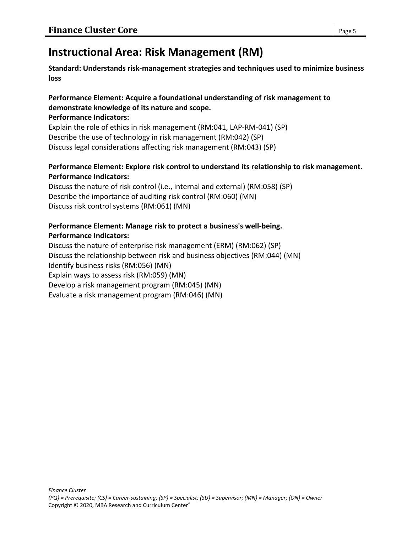# **Instructional Area: Risk Management (RM)**

**Standard: Understands risk-management strategies and techniques used to minimize business loss**

# **Performance Element: Acquire a foundational understanding of risk management to demonstrate knowledge of its nature and scope.**

#### **Performance Indicators:**

Explain the role of ethics in risk management (RM:041, LAP-RM-041) (SP) Describe the use of technology in risk management (RM:042) (SP) Discuss legal considerations affecting risk management (RM:043) (SP)

### **Performance Element: Explore risk control to understand its relationship to risk management. Performance Indicators:**

Discuss the nature of risk control (i.e., internal and external) (RM:058) (SP) Describe the importance of auditing risk control (RM:060) (MN) Discuss risk control systems (RM:061) (MN)

### **Performance Element: Manage risk to protect a business's well-being. Performance Indicators:**

Discuss the nature of enterprise risk management (ERM) (RM:062) (SP) Discuss the relationship between risk and business objectives (RM:044) (MN) Identify business risks (RM:056) (MN) Explain ways to assess risk (RM:059) (MN) Develop a risk management program (RM:045) (MN) Evaluate a risk management program (RM:046) (MN)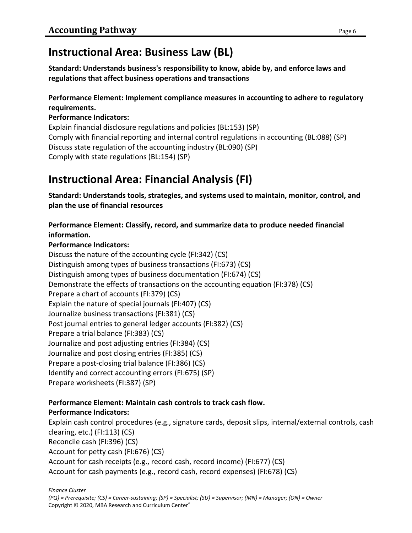# **Instructional Area: Business Law (BL)**

**Standard: Understands business's responsibility to know, abide by, and enforce laws and regulations that affect business operations and transactions**

### **Performance Element: Implement compliance measures in accounting to adhere to regulatory requirements.**

### **Performance Indicators:**

Explain financial disclosure regulations and policies (BL:153) (SP) Comply with financial reporting and internal control regulations in accounting (BL:088) (SP) Discuss state regulation of the accounting industry (BL:090) (SP) Comply with state regulations (BL:154) (SP)

# **Instructional Area: Financial Analysis (FI)**

**Standard: Understands tools, strategies, and systems used to maintain, monitor, control, and plan the use of financial resources**

# **Performance Element: Classify, record, and summarize data to produce needed financial information.**

### **Performance Indicators:**

Discuss the nature of the accounting cycle (FI:342) (CS) Distinguish among types of business transactions (FI:673) (CS) Distinguish among types of business documentation (FI:674) (CS) Demonstrate the effects of transactions on the accounting equation (FI:378) (CS) Prepare a chart of accounts (FI:379) (CS) Explain the nature of special journals (FI:407) (CS) Journalize business transactions (FI:381) (CS) Post journal entries to general ledger accounts (FI:382) (CS) Prepare a trial balance (FI:383) (CS) Journalize and post adjusting entries (FI:384) (CS) Journalize and post closing entries (FI:385) (CS) Prepare a post-closing trial balance (FI:386) (CS) Identify and correct accounting errors (FI:675) (SP) Prepare worksheets (FI:387) (SP)

# **Performance Element: Maintain cash controls to track cash flow. Performance Indicators:**

Explain cash control procedures (e.g., signature cards, deposit slips, internal/external controls, cash clearing, etc.) (FI:113) (CS) Reconcile cash (FI:396) (CS) Account for petty cash (FI:676) (CS) Account for cash receipts (e.g., record cash, record income) (FI:677) (CS) Account for cash payments (e.g., record cash, record expenses) (FI:678) (CS)

*Finance Cluster*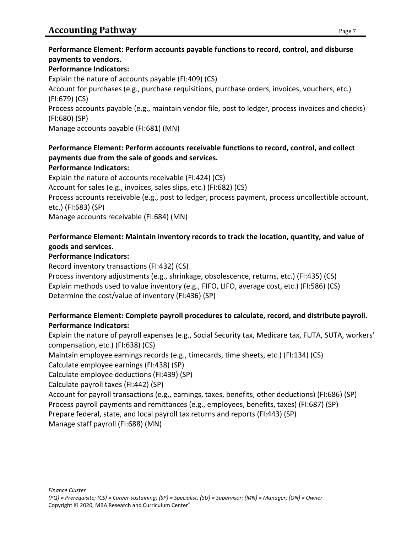# **Performance Element: Perform accounts payable functions to record, control, and disburse payments to vendors.**

#### **Performance Indicators:**

Explain the nature of accounts payable (FI:409) (CS) Account for purchases (e.g., purchase requisitions, purchase orders, invoices, vouchers, etc.) (FI:679) (CS) Process accounts payable (e.g., maintain vendor file, post to ledger, process invoices and checks) (FI:680) (SP) Manage accounts payable (FI:681) (MN)

# **Performance Element: Perform accounts receivable functions to record, control, and collect payments due from the sale of goods and services.**

#### **Performance Indicators:**

Explain the nature of accounts receivable (FI:424) (CS) Account for sales (e.g., invoices, sales slips, etc.) (FI:682) (CS) Process accounts receivable (e.g., post to ledger, process payment, process uncollectible account, etc.) (FI:683) (SP) Manage accounts receivable (FI:684) (MN)

# **Performance Element: Maintain inventory records to track the location, quantity, and value of goods and services.**

#### **Performance Indicators:**

Record inventory transactions (FI:432) (CS) Process inventory adjustments (e.g., shrinkage, obsolescence, returns, etc.) (FI:435) (CS) Explain methods used to value inventory (e.g., FIFO, LIFO, average cost, etc.) (FI:586) (CS) Determine the cost/value of inventory (FI:436) (SP)

# **Performance Element: Complete payroll procedures to calculate, record, and distribute payroll. Performance Indicators:**

Explain the nature of payroll expenses (e.g., Social Security tax, Medicare tax, FUTA, SUTA, workers' compensation, etc.) (FI:638) (CS)

Maintain employee earnings records (e.g., timecards, time sheets, etc.) (FI:134) (CS) Calculate employee earnings (FI:438) (SP)

Calculate employee deductions (FI:439) (SP)

Calculate payroll taxes (FI:442) (SP)

Account for payroll transactions (e.g., earnings, taxes, benefits, other deductions) (FI:686) (SP) Process payroll payments and remittances (e.g., employees, benefits, taxes) (FI:687) (SP) Prepare federal, state, and local payroll tax returns and reports (FI:443) (SP)

Manage staff payroll (FI:688) (MN)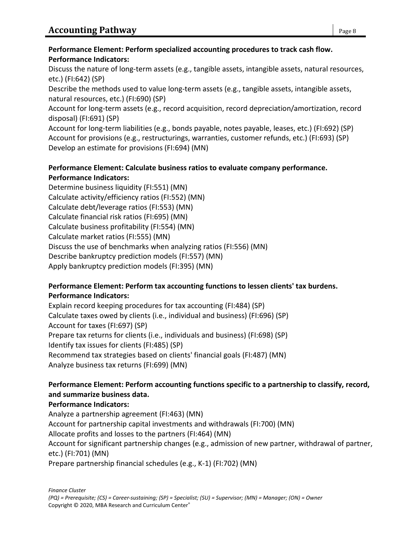# **Performance Element: Perform specialized accounting procedures to track cash flow. Performance Indicators:**

Discuss the nature of long-term assets (e.g., tangible assets, intangible assets, natural resources, etc.) (FI:642) (SP)

Describe the methods used to value long-term assets (e.g., tangible assets, intangible assets, natural resources, etc.) (FI:690) (SP)

Account for long-term assets (e.g., record acquisition, record depreciation/amortization, record disposal) (FI:691) (SP)

Account for long-term liabilities (e.g., bonds payable, notes payable, leases, etc.) (FI:692) (SP) Account for provisions (e.g., restructurings, warranties, customer refunds, etc.) (FI:693) (SP) Develop an estimate for provisions (FI:694) (MN)

#### **Performance Element: Calculate business ratios to evaluate company performance. Performance Indicators:**

Determine business liquidity (FI:551) (MN) Calculate activity/efficiency ratios (FI:552) (MN) Calculate debt/leverage ratios (FI:553) (MN) Calculate financial risk ratios (FI:695) (MN) Calculate business profitability (FI:554) (MN) Calculate market ratios (FI:555) (MN) Discuss the use of benchmarks when analyzing ratios (FI:556) (MN) Describe bankruptcy prediction models (FI:557) (MN) Apply bankruptcy prediction models (FI:395) (MN)

# **Performance Element: Perform tax accounting functions to lessen clients' tax burdens. Performance Indicators:**

Explain record keeping procedures for tax accounting (FI:484) (SP) Calculate taxes owed by clients (i.e., individual and business) (FI:696) (SP) Account for taxes (FI:697) (SP) Prepare tax returns for clients (i.e., individuals and business) (FI:698) (SP) Identify tax issues for clients (FI:485) (SP) Recommend tax strategies based on clients' financial goals (FI:487) (MN) Analyze business tax returns (FI:699) (MN)

# **Performance Element: Perform accounting functions specific to a partnership to classify, record, and summarize business data.**

# **Performance Indicators:**

Analyze a partnership agreement (FI:463) (MN) Account for partnership capital investments and withdrawals (FI:700) (MN) Allocate profits and losses to the partners (FI:464) (MN) Account for significant partnership changes (e.g., admission of new partner, withdrawal of partner, etc.) (FI:701) (MN) Prepare partnership financial schedules (e.g., K-1) (FI:702) (MN)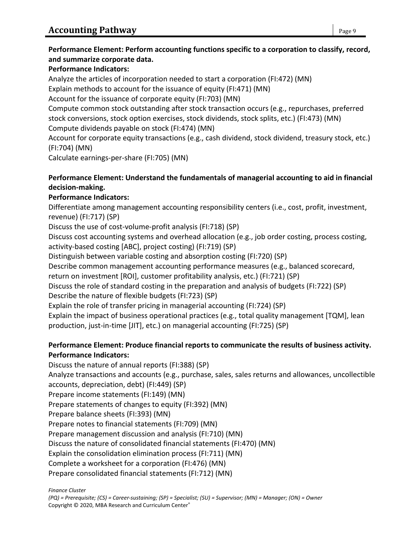#### **Performance Element: Perform accounting functions specific to a corporation to classify, record, and summarize corporate data.**

### **Performance Indicators:**

Analyze the articles of incorporation needed to start a corporation (FI:472) (MN)

Explain methods to account for the issuance of equity (FI:471) (MN)

Account for the issuance of corporate equity (FI:703) (MN)

Compute common stock outstanding after stock transaction occurs (e.g., repurchases, preferred stock conversions, stock option exercises, stock dividends, stock splits, etc.) (FI:473) (MN) Compute dividends payable on stock (FI:474) (MN)

Account for corporate equity transactions (e.g., cash dividend, stock dividend, treasury stock, etc.) (FI:704) (MN)

Calculate earnings-per-share (FI:705) (MN)

### **Performance Element: Understand the fundamentals of managerial accounting to aid in financial decision-making.**

# **Performance Indicators:**

Differentiate among management accounting responsibility centers (i.e., cost, profit, investment, revenue) (FI:717) (SP)

Discuss the use of cost-volume-profit analysis (FI:718) (SP)

Discuss cost accounting systems and overhead allocation (e.g., job order costing, process costing, activity-based costing [ABC], project costing) (FI:719) (SP)

Distinguish between variable costing and absorption costing (FI:720) (SP)

Describe common management accounting performance measures (e.g., balanced scorecard, return on investment [ROI], customer profitability analysis, etc.) (FI:721) (SP)

Discuss the role of standard costing in the preparation and analysis of budgets (FI:722) (SP)

# Describe the nature of flexible budgets (FI:723) (SP)

Explain the role of transfer pricing in managerial accounting (FI:724) (SP)

Explain the impact of business operational practices (e.g., total quality management [TQM], lean production, just-in-time [JIT], etc.) on managerial accounting (FI:725) (SP)

### **Performance Element: Produce financial reports to communicate the results of business activity. Performance Indicators:**

Discuss the nature of annual reports (FI:388) (SP) Analyze transactions and accounts (e.g., purchase, sales, sales returns and allowances, uncollectible accounts, depreciation, debt) (FI:449) (SP) Prepare income statements (FI:149) (MN) Prepare statements of changes to equity (FI:392) (MN) Prepare balance sheets (FI:393) (MN) Prepare notes to financial statements (FI:709) (MN) Prepare management discussion and analysis (FI:710) (MN) Discuss the nature of consolidated financial statements (FI:470) (MN) Explain the consolidation elimination process (FI:711) (MN) Complete a worksheet for a corporation (FI:476) (MN) Prepare consolidated financial statements (FI:712) (MN)

*Finance Cluster*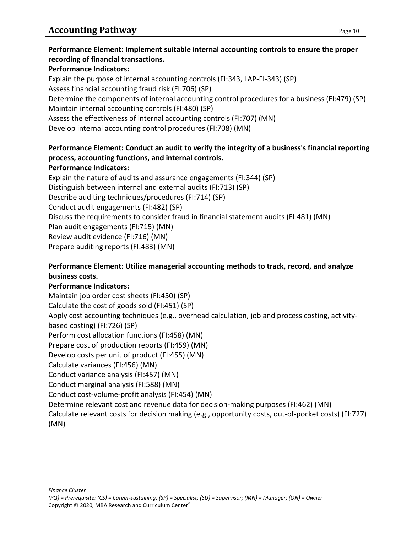### **Performance Element: Implement suitable internal accounting controls to ensure the proper recording of financial transactions.**

### **Performance Indicators:**

Explain the purpose of internal accounting controls (FI:343, LAP-FI-343) (SP) Assess financial accounting fraud risk (FI:706) (SP) Determine the components of internal accounting control procedures for a business (FI:479) (SP) Maintain internal accounting controls (FI:480) (SP) Assess the effectiveness of internal accounting controls (FI:707) (MN) Develop internal accounting control procedures (FI:708) (MN)

# **Performance Element: Conduct an audit to verify the integrity of a business's financial reporting process, accounting functions, and internal controls.**

### **Performance Indicators:**

Explain the nature of audits and assurance engagements (FI:344) (SP) Distinguish between internal and external audits (FI:713) (SP) Describe auditing techniques/procedures (FI:714) (SP) Conduct audit engagements (FI:482) (SP) Discuss the requirements to consider fraud in financial statement audits (FI:481) (MN) Plan audit engagements (FI:715) (MN) Review audit evidence (FI:716) (MN) Prepare auditing reports (FI:483) (MN)

# **Performance Element: Utilize managerial accounting methods to track, record, and analyze business costs.**

# **Performance Indicators:**

Maintain job order cost sheets (FI:450) (SP) Calculate the cost of goods sold (FI:451) (SP) Apply cost accounting techniques (e.g., overhead calculation, job and process costing, activitybased costing) (FI:726) (SP) Perform cost allocation functions (FI:458) (MN) Prepare cost of production reports (FI:459) (MN) Develop costs per unit of product (FI:455) (MN) Calculate variances (FI:456) (MN) Conduct variance analysis (FI:457) (MN) Conduct marginal analysis (FI:588) (MN) Conduct cost-volume-profit analysis (FI:454) (MN) Determine relevant cost and revenue data for decision-making purposes (FI:462) (MN) Calculate relevant costs for decision making (e.g., opportunity costs, out-of-pocket costs) (FI:727) (MN)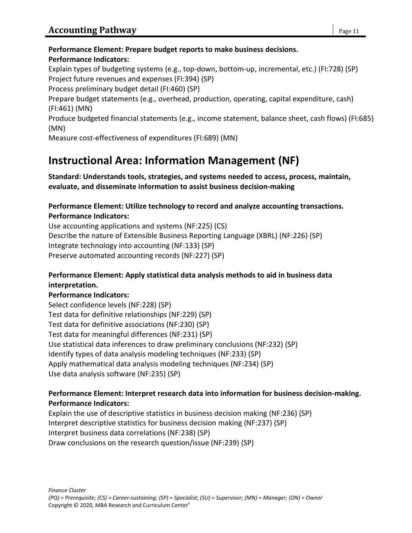#### **Performance Element: Prepare budget reports to make business decisions. Performance Indicators:**

Explain types of budgeting systems (e.g., top-down, bottom-up, incremental, etc.) (FI:728) (SP) Project future revenues and expenses (FI:394) (SP)

Process preliminary budget detail (FI:460) (SP)

Prepare budget statements (e.g., overhead, production, operating, capital expenditure, cash) (FI:461) (MN)

Produce budgeted financial statements (e.g., income statement, balance sheet, cash flows) (FI:685) (MN)

Measure cost-effectiveness of expenditures (FI:689) (MN)

# **Instructional Area: Information Management (NF)**

**Standard: Understands tools, strategies, and systems needed to access, process, maintain, evaluate, and disseminate information to assist business decision-making**

### **Performance Element: Utilize technology to record and analyze accounting transactions. Performance Indicators:**

Use accounting applications and systems (NF:225) (CS) Describe the nature of Extensible Business Reporting Language (XBRL) (NF:226) (SP) Integrate technology into accounting (NF:133) (SP) Preserve automated accounting records (NF:227) (SP)

# **Performance Element: Apply statistical data analysis methods to aid in business data interpretation.**

# **Performance Indicators:**

Select confidence levels (NF:228) (SP) Test data for definitive relationships (NF:229) (SP) Test data for definitive associations (NF:230) (SP) Test data for meaningful differences (NF:231) (SP) Use statistical data inferences to draw preliminary conclusions (NF:232) (SP) Identify types of data analysis modeling techniques (NF:233) (SP) Apply mathematical data analysis modeling techniques (NF:234) (SP) Use data analysis software (NF:235) (SP)

### **Performance Element: Interpret research data into information for business decision-making. Performance Indicators:**

Explain the use of descriptive statistics in business decision making (NF:236) (SP) Interpret descriptive statistics for business decision making (NF:237) (SP) Interpret business data correlations (NF:238) (SP) Draw conclusions on the research question/issue (NF:239) (SP)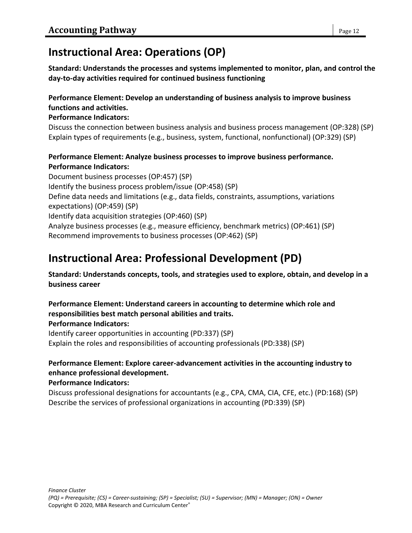# **Instructional Area: Operations (OP)**

**Standard: Understands the processes and systems implemented to monitor, plan, and control the day-to-day activities required for continued business functioning**

# **Performance Element: Develop an understanding of business analysis to improve business functions and activities.**

### **Performance Indicators:**

Discuss the connection between business analysis and business process management (OP:328) (SP) Explain types of requirements (e.g., business, system, functional, nonfunctional) (OP:329) (SP)

# **Performance Element: Analyze business processes to improve business performance. Performance Indicators:**

Document business processes (OP:457) (SP) Identify the business process problem/issue (OP:458) (SP) Define data needs and limitations (e.g., data fields, constraints, assumptions, variations expectations) (OP:459) (SP) Identify data acquisition strategies (OP:460) (SP) Analyze business processes (e.g., measure efficiency, benchmark metrics) (OP:461) (SP) Recommend improvements to business processes (OP:462) (SP)

# **Instructional Area: Professional Development (PD)**

**Standard: Understands concepts, tools, and strategies used to explore, obtain, and develop in a business career**

# **Performance Element: Understand careers in accounting to determine which role and responsibilities best match personal abilities and traits.**

**Performance Indicators:**

Identify career opportunities in accounting (PD:337) (SP) Explain the roles and responsibilities of accounting professionals (PD:338) (SP)

# **Performance Element: Explore career-advancement activities in the accounting industry to enhance professional development.**

# **Performance Indicators:**

Discuss professional designations for accountants (e.g., CPA, CMA, CIA, CFE, etc.) (PD:168) (SP) Describe the services of professional organizations in accounting (PD:339) (SP)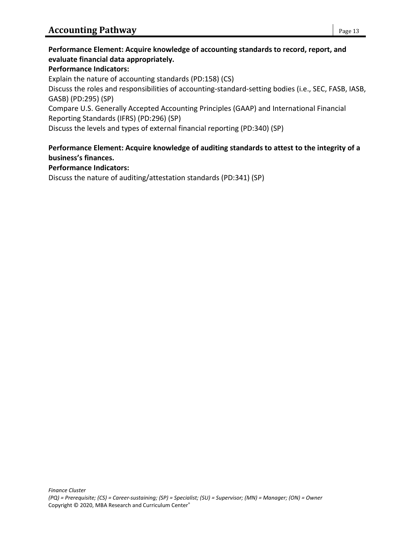# **Performance Element: Acquire knowledge of accounting standards to record, report, and evaluate financial data appropriately.**

### **Performance Indicators:**

Explain the nature of accounting standards (PD:158) (CS)

Discuss the roles and responsibilities of accounting-standard-setting bodies (i.e., SEC, FASB, IASB, GASB) (PD:295) (SP)

Compare U.S. Generally Accepted Accounting Principles (GAAP) and International Financial Reporting Standards (IFRS) (PD:296) (SP)

Discuss the levels and types of external financial reporting (PD:340) (SP)

#### **Performance Element: Acquire knowledge of auditing standards to attest to the integrity of a business's finances.**

#### **Performance Indicators:**

Discuss the nature of auditing/attestation standards (PD:341) (SP)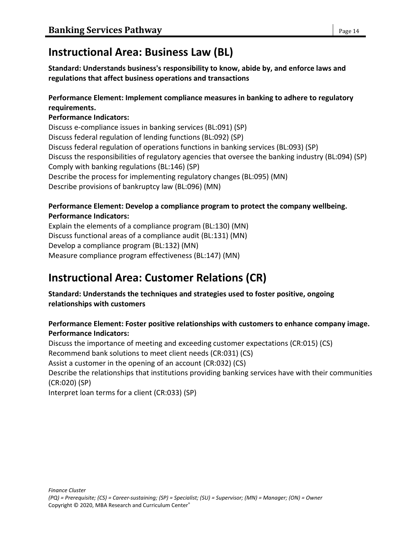# **Instructional Area: Business Law (BL)**

**Standard: Understands business's responsibility to know, abide by, and enforce laws and regulations that affect business operations and transactions**

# **Performance Element: Implement compliance measures in banking to adhere to regulatory requirements.**

### **Performance Indicators:**

Discuss e-compliance issues in banking services (BL:091) (SP) Discuss federal regulation of lending functions (BL:092) (SP) Discuss federal regulation of operations functions in banking services (BL:093) (SP) Discuss the responsibilities of regulatory agencies that oversee the banking industry (BL:094) (SP) Comply with banking regulations (BL:146) (SP) Describe the process for implementing regulatory changes (BL:095) (MN) Describe provisions of bankruptcy law (BL:096) (MN)

### **Performance Element: Develop a compliance program to protect the company wellbeing. Performance Indicators:**

Explain the elements of a compliance program (BL:130) (MN) Discuss functional areas of a compliance audit (BL:131) (MN) Develop a compliance program (BL:132) (MN) Measure compliance program effectiveness (BL:147) (MN)

# **Instructional Area: Customer Relations (CR)**

### **Standard: Understands the techniques and strategies used to foster positive, ongoing relationships with customers**

# **Performance Element: Foster positive relationships with customers to enhance company image. Performance Indicators:**

Discuss the importance of meeting and exceeding customer expectations (CR:015) (CS) Recommend bank solutions to meet client needs (CR:031) (CS) Assist a customer in the opening of an account (CR:032) (CS) Describe the relationships that institutions providing banking services have with their communities (CR:020) (SP) Interpret loan terms for a client (CR:033) (SP)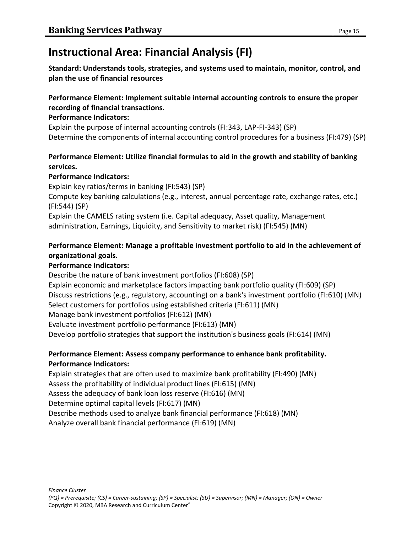# **Instructional Area: Financial Analysis (FI)**

**Standard: Understands tools, strategies, and systems used to maintain, monitor, control, and plan the use of financial resources**

### **Performance Element: Implement suitable internal accounting controls to ensure the proper recording of financial transactions.**

#### **Performance Indicators:**

Explain the purpose of internal accounting controls (FI:343, LAP-FI-343) (SP) Determine the components of internal accounting control procedures for a business (FI:479) (SP)

# **Performance Element: Utilize financial formulas to aid in the growth and stability of banking services.**

### **Performance Indicators:**

Explain key ratios/terms in banking (FI:543) (SP) Compute key banking calculations (e.g., interest, annual percentage rate, exchange rates, etc.) (FI:544) (SP) Explain the CAMELS rating system (i.e. Capital adequacy, Asset quality, Management administration, Earnings, Liquidity, and Sensitivity to market risk) (FI:545) (MN)

# **Performance Element: Manage a profitable investment portfolio to aid in the achievement of organizational goals.**

# **Performance Indicators:**

Describe the nature of bank investment portfolios (FI:608) (SP) Explain economic and marketplace factors impacting bank portfolio quality (FI:609) (SP) Discuss restrictions (e.g., regulatory, accounting) on a bank's investment portfolio (FI:610) (MN) Select customers for portfolios using established criteria (FI:611) (MN) Manage bank investment portfolios (FI:612) (MN) Evaluate investment portfolio performance (FI:613) (MN) Develop portfolio strategies that support the institution's business goals (FI:614) (MN)

# **Performance Element: Assess company performance to enhance bank profitability. Performance Indicators:**

Explain strategies that are often used to maximize bank profitability (FI:490) (MN) Assess the profitability of individual product lines (FI:615) (MN) Assess the adequacy of bank loan loss reserve (FI:616) (MN)

Determine optimal capital levels (FI:617) (MN)

Describe methods used to analyze bank financial performance (FI:618) (MN)

Analyze overall bank financial performance (FI:619) (MN)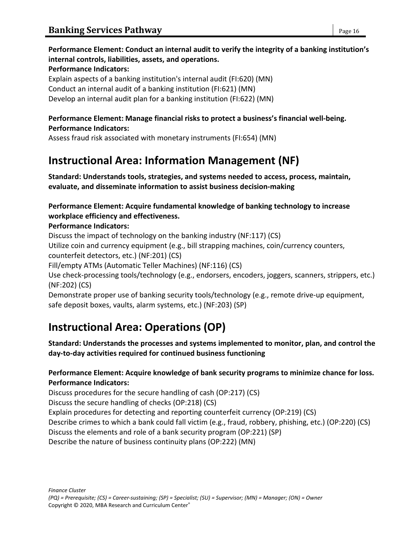# **Performance Element: Conduct an internal audit to verify the integrity of a banking institution's internal controls, liabilities, assets, and operations.**

#### **Performance Indicators:**

Explain aspects of a banking institution's internal audit (FI:620) (MN) Conduct an internal audit of a banking institution (FI:621) (MN) Develop an internal audit plan for a banking institution (FI:622) (MN)

### **Performance Element: Manage financial risks to protect a business's financial well-being. Performance Indicators:**

Assess fraud risk associated with monetary instruments (FI:654) (MN)

# **Instructional Area: Information Management (NF)**

**Standard: Understands tools, strategies, and systems needed to access, process, maintain, evaluate, and disseminate information to assist business decision-making**

# **Performance Element: Acquire fundamental knowledge of banking technology to increase workplace efficiency and effectiveness.**

# **Performance Indicators:**

Discuss the impact of technology on the banking industry (NF:117) (CS)

Utilize coin and currency equipment (e.g., bill strapping machines, coin/currency counters, counterfeit detectors, etc.) (NF:201) (CS)

Fill/empty ATMs (Automatic Teller Machines) (NF:116) (CS)

Use check-processing tools/technology (e.g., endorsers, encoders, joggers, scanners, strippers, etc.) (NF:202) (CS)

Demonstrate proper use of banking security tools/technology (e.g., remote drive-up equipment, safe deposit boxes, vaults, alarm systems, etc.) (NF:203) (SP)

# **Instructional Area: Operations (OP)**

**Standard: Understands the processes and systems implemented to monitor, plan, and control the day-to-day activities required for continued business functioning**

# **Performance Element: Acquire knowledge of bank security programs to minimize chance for loss. Performance Indicators:**

Discuss procedures for the secure handling of cash (OP:217) (CS)

Discuss the secure handling of checks (OP:218) (CS)

Explain procedures for detecting and reporting counterfeit currency (OP:219) (CS)

Describe crimes to which a bank could fall victim (e.g., fraud, robbery, phishing, etc.) (OP:220) (CS)

Discuss the elements and role of a bank security program (OP:221) (SP)

Describe the nature of business continuity plans (OP:222) (MN)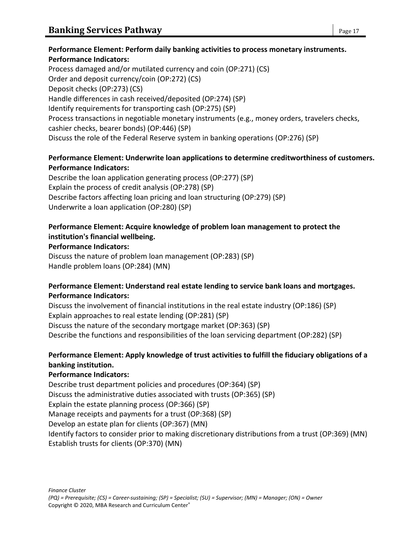# **Performance Element: Perform daily banking activities to process monetary instruments. Performance Indicators:**

Process damaged and/or mutilated currency and coin (OP:271) (CS) Order and deposit currency/coin (OP:272) (CS) Deposit checks (OP:273) (CS) Handle differences in cash received/deposited (OP:274) (SP) Identify requirements for transporting cash (OP:275) (SP) Process transactions in negotiable monetary instruments (e.g., money orders, travelers checks, cashier checks, bearer bonds) (OP:446) (SP) Discuss the role of the Federal Reserve system in banking operations (OP:276) (SP)

# **Performance Element: Underwrite loan applications to determine creditworthiness of customers. Performance Indicators:**

Describe the loan application generating process (OP:277) (SP) Explain the process of credit analysis (OP:278) (SP) Describe factors affecting loan pricing and loan structuring (OP:279) (SP) Underwrite a loan application (OP:280) (SP)

### **Performance Element: Acquire knowledge of problem loan management to protect the institution's financial wellbeing.**

# **Performance Indicators:**

Discuss the nature of problem loan management (OP:283) (SP) Handle problem loans (OP:284) (MN)

# **Performance Element: Understand real estate lending to service bank loans and mortgages. Performance Indicators:**

Discuss the involvement of financial institutions in the real estate industry (OP:186) (SP) Explain approaches to real estate lending (OP:281) (SP) Discuss the nature of the secondary mortgage market (OP:363) (SP) Describe the functions and responsibilities of the loan servicing department (OP:282) (SP)

# **Performance Element: Apply knowledge of trust activities to fulfill the fiduciary obligations of a banking institution.**

# **Performance Indicators:**

Describe trust department policies and procedures (OP:364) (SP) Discuss the administrative duties associated with trusts (OP:365) (SP) Explain the estate planning process (OP:366) (SP) Manage receipts and payments for a trust (OP:368) (SP) Develop an estate plan for clients (OP:367) (MN) Identify factors to consider prior to making discretionary distributions from a trust (OP:369) (MN) Establish trusts for clients (OP:370) (MN)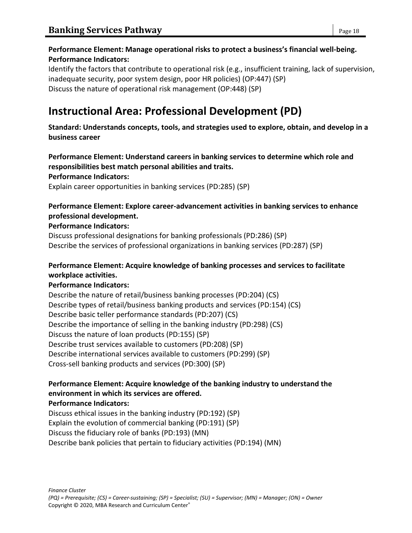# **Performance Element: Manage operational risks to protect a business's financial well-being. Performance Indicators:**

Identify the factors that contribute to operational risk (e.g., insufficient training, lack of supervision, inadequate security, poor system design, poor HR policies) (OP:447) (SP) Discuss the nature of operational risk management (OP:448) (SP)

# **Instructional Area: Professional Development (PD)**

**Standard: Understands concepts, tools, and strategies used to explore, obtain, and develop in a business career**

**Performance Element: Understand careers in banking services to determine which role and responsibilities best match personal abilities and traits.**

**Performance Indicators:**

Explain career opportunities in banking services (PD:285) (SP)

#### **Performance Element: Explore career-advancement activities in banking services to enhance professional development.**

#### **Performance Indicators:**

Discuss professional designations for banking professionals (PD:286) (SP) Describe the services of professional organizations in banking services (PD:287) (SP)

# **Performance Element: Acquire knowledge of banking processes and services to facilitate workplace activities.**

# **Performance Indicators:**

Describe the nature of retail/business banking processes (PD:204) (CS) Describe types of retail/business banking products and services (PD:154) (CS) Describe basic teller performance standards (PD:207) (CS) Describe the importance of selling in the banking industry (PD:298) (CS) Discuss the nature of loan products (PD:155) (SP) Describe trust services available to customers (PD:208) (SP) Describe international services available to customers (PD:299) (SP) Cross-sell banking products and services (PD:300) (SP)

#### **Performance Element: Acquire knowledge of the banking industry to understand the environment in which its services are offered. Performance Indicators:**

Discuss ethical issues in the banking industry (PD:192) (SP) Explain the evolution of commercial banking (PD:191) (SP) Discuss the fiduciary role of banks (PD:193) (MN) Describe bank policies that pertain to fiduciary activities (PD:194) (MN)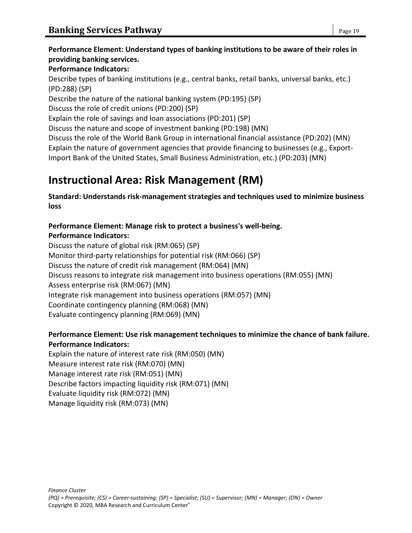# **Performance Element: Understand types of banking institutions to be aware of their roles in providing banking services.**

### **Performance Indicators:**

Describe types of banking institutions (e.g., central banks, retail banks, universal banks, etc.) (PD:288) (SP)

Describe the nature of the national banking system (PD:195) (SP)

Discuss the role of credit unions (PD:200) (SP)

Explain the role of savings and loan associations (PD:201) (SP)

Discuss the nature and scope of investment banking (PD:198) (MN)

Discuss the role of the World Bank Group in international financial assistance (PD:202) (MN) Explain the nature of government agencies that provide financing to businesses (e.g., Export-Import Bank of the United States, Small Business Administration, etc.) (PD:203) (MN)

# **Instructional Area: Risk Management (RM)**

**Standard: Understands risk-management strategies and techniques used to minimize business loss**

# **Performance Element: Manage risk to protect a business's well-being. Performance Indicators:**

Discuss the nature of global risk (RM:065) (SP) Monitor third-party relationships for potential risk (RM:066) (SP) Discuss the nature of credit risk management (RM:064) (MN) Discuss reasons to integrate risk management into business operations (RM:055) (MN) Assess enterprise risk (RM:067) (MN) Integrate risk management into business operations (RM:057) (MN) Coordinate contingency planning (RM:068) (MN) Evaluate contingency planning (RM:069) (MN)

# **Performance Element: Use risk management techniques to minimize the chance of bank failure. Performance Indicators:**

Explain the nature of interest rate risk (RM:050) (MN) Measure interest rate risk (RM:070) (MN) Manage interest rate risk (RM:051) (MN) Describe factors impacting liquidity risk (RM:071) (MN) Evaluate liquidity risk (RM:072) (MN) Manage liquidity risk (RM:073) (MN)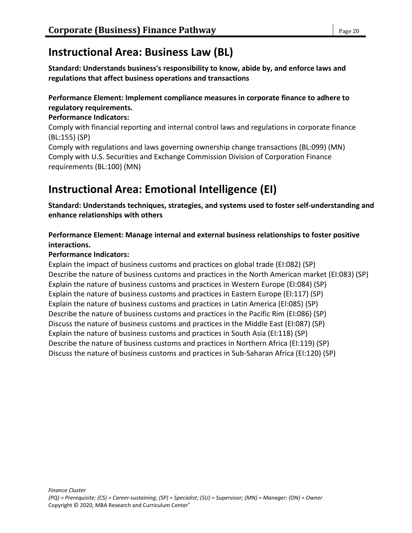# **Instructional Area: Business Law (BL)**

**Standard: Understands business's responsibility to know, abide by, and enforce laws and regulations that affect business operations and transactions**

# **Performance Element: Implement compliance measures in corporate finance to adhere to regulatory requirements.**

# **Performance Indicators:**

Comply with financial reporting and internal control laws and regulations in corporate finance (BL:155) (SP)

Comply with regulations and laws governing ownership change transactions (BL:099) (MN) Comply with U.S. Securities and Exchange Commission Division of Corporation Finance requirements (BL:100) (MN)

# **Instructional Area: Emotional Intelligence (EI)**

**Standard: Understands techniques, strategies, and systems used to foster self-understanding and enhance relationships with others**

**Performance Element: Manage internal and external business relationships to foster positive interactions.**

# **Performance Indicators:**

Explain the impact of business customs and practices on global trade (EI:082) (SP) Describe the nature of business customs and practices in the North American market (EI:083) (SP) Explain the nature of business customs and practices in Western Europe (EI:084) (SP) Explain the nature of business customs and practices in Eastern Europe (EI:117) (SP) Explain the nature of business customs and practices in Latin America (EI:085) (SP) Describe the nature of business customs and practices in the Pacific Rim (EI:086) (SP) Discuss the nature of business customs and practices in the Middle East (EI:087) (SP) Explain the nature of business customs and practices in South Asia (EI:118) (SP) Describe the nature of business customs and practices in Northern Africa (EI:119) (SP) Discuss the nature of business customs and practices in Sub-Saharan Africa (EI:120) (SP)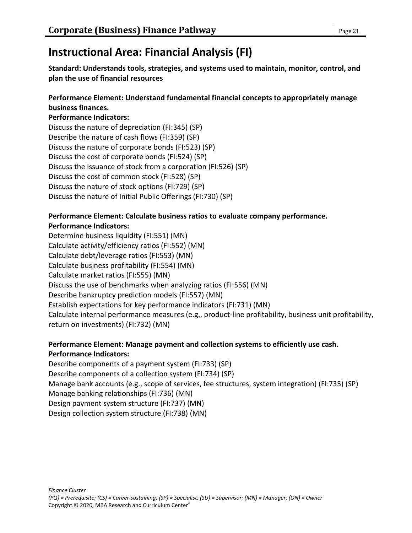# **Instructional Area: Financial Analysis (FI)**

**Standard: Understands tools, strategies, and systems used to maintain, monitor, control, and plan the use of financial resources**

#### **Performance Element: Understand fundamental financial concepts to appropriately manage business finances.**

#### **Performance Indicators:**

Discuss the nature of depreciation (FI:345) (SP) Describe the nature of cash flows (FI:359) (SP) Discuss the nature of corporate bonds (FI:523) (SP) Discuss the cost of corporate bonds (FI:524) (SP) Discuss the issuance of stock from a corporation (FI:526) (SP) Discuss the cost of common stock (FI:528) (SP) Discuss the nature of stock options (FI:729) (SP) Discuss the nature of Initial Public Offerings (FI:730) (SP)

### **Performance Element: Calculate business ratios to evaluate company performance. Performance Indicators:**

Determine business liquidity (FI:551) (MN) Calculate activity/efficiency ratios (FI:552) (MN) Calculate debt/leverage ratios (FI:553) (MN) Calculate business profitability (FI:554) (MN) Calculate market ratios (FI:555) (MN) Discuss the use of benchmarks when analyzing ratios (FI:556) (MN) Describe bankruptcy prediction models (FI:557) (MN) Establish expectations for key performance indicators (FI:731) (MN) Calculate internal performance measures (e.g., product-line profitability, business unit profitability, return on investments) (FI:732) (MN)

#### **Performance Element: Manage payment and collection systems to efficiently use cash. Performance Indicators:**

Describe components of a payment system (FI:733) (SP) Describe components of a collection system (FI:734) (SP) Manage bank accounts (e.g., scope of services, fee structures, system integration) (FI:735) (SP) Manage banking relationships (FI:736) (MN) Design payment system structure (FI:737) (MN) Design collection system structure (FI:738) (MN)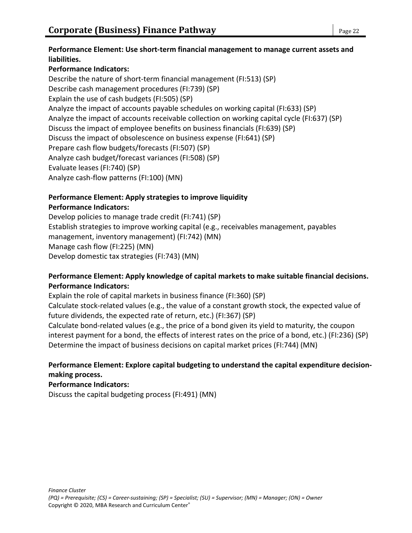#### **Performance Element: Use short-term financial management to manage current assets and liabilities.**

# **Performance Indicators:**

Describe the nature of short-term financial management (FI:513) (SP) Describe cash management procedures (FI:739) (SP) Explain the use of cash budgets (FI:505) (SP) Analyze the impact of accounts payable schedules on working capital (FI:633) (SP) Analyze the impact of accounts receivable collection on working capital cycle (FI:637) (SP) Discuss the impact of employee benefits on business financials (FI:639) (SP) Discuss the impact of obsolescence on business expense (FI:641) (SP) Prepare cash flow budgets/forecasts (FI:507) (SP) Analyze cash budget/forecast variances (FI:508) (SP) Evaluate leases (FI:740) (SP) Analyze cash-flow patterns (FI:100) (MN)

# **Performance Element: Apply strategies to improve liquidity**

### **Performance Indicators:**

Develop policies to manage trade credit (FI:741) (SP) Establish strategies to improve working capital (e.g., receivables management, payables management, inventory management) (FI:742) (MN) Manage cash flow (FI:225) (MN) Develop domestic tax strategies (FI:743) (MN)

# **Performance Element: Apply knowledge of capital markets to make suitable financial decisions. Performance Indicators:**

Explain the role of capital markets in business finance (FI:360) (SP)

Calculate stock-related values (e.g., the value of a constant growth stock, the expected value of future dividends, the expected rate of return, etc.) (FI:367) (SP)

Calculate bond-related values (e.g., the price of a bond given its yield to maturity, the coupon interest payment for a bond, the effects of interest rates on the price of a bond, etc.) (FI:236) (SP) Determine the impact of business decisions on capital market prices (FI:744) (MN)

# **Performance Element: Explore capital budgeting to understand the capital expenditure decisionmaking process.**

# **Performance Indicators:**

Discuss the capital budgeting process (FI:491) (MN)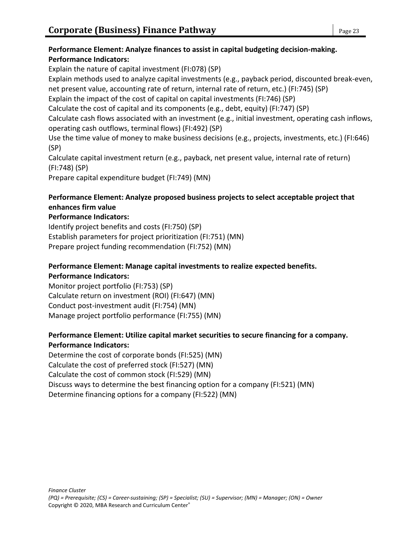# **Performance Element: Analyze finances to assist in capital budgeting decision-making. Performance Indicators:**

Explain the nature of capital investment (FI:078) (SP) Explain methods used to analyze capital investments (e.g., payback period, discounted break-even, net present value, accounting rate of return, internal rate of return, etc.) (FI:745) (SP) Explain the impact of the cost of capital on capital investments (FI:746) (SP) Calculate the cost of capital and its components (e.g., debt, equity) (FI:747) (SP) Calculate cash flows associated with an investment (e.g., initial investment, operating cash inflows, operating cash outflows, terminal flows) (FI:492) (SP) Use the time value of money to make business decisions (e.g., projects, investments, etc.) (FI:646) (SP) Calculate capital investment return (e.g., payback, net present value, internal rate of return) (FI:748) (SP)

Prepare capital expenditure budget (FI:749) (MN)

# **Performance Element: Analyze proposed business projects to select acceptable project that enhances firm value**

### **Performance Indicators:**

Identify project benefits and costs (FI:750) (SP) Establish parameters for project prioritization (FI:751) (MN) Prepare project funding recommendation (FI:752) (MN)

#### **Performance Element: Manage capital investments to realize expected benefits. Performance Indicators:**

Monitor project portfolio (FI:753) (SP) Calculate return on investment (ROI) (FI:647) (MN) Conduct post-investment audit (FI:754) (MN) Manage project portfolio performance (FI:755) (MN)

# **Performance Element: Utilize capital market securities to secure financing for a company. Performance Indicators:**

Determine the cost of corporate bonds (FI:525) (MN) Calculate the cost of preferred stock (FI:527) (MN) Calculate the cost of common stock (FI:529) (MN) Discuss ways to determine the best financing option for a company (FI:521) (MN) Determine financing options for a company (FI:522) (MN)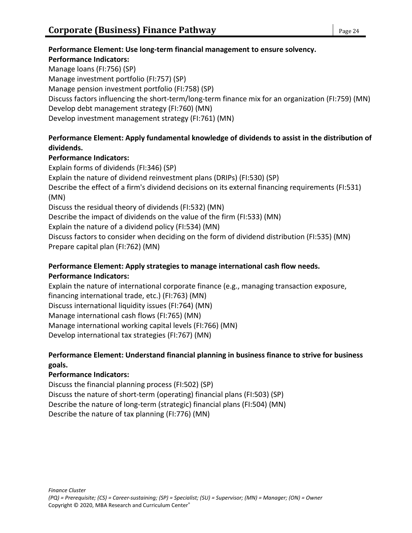# **Performance Element: Use long-term financial management to ensure solvency. Performance Indicators:** Manage loans (FI:756) (SP)

Manage investment portfolio (FI:757) (SP) Manage pension investment portfolio (FI:758) (SP) Discuss factors influencing the short-term/long-term finance mix for an organization (FI:759) (MN) Develop debt management strategy (FI:760) (MN) Develop investment management strategy (FI:761) (MN)

# **Performance Element: Apply fundamental knowledge of dividends to assist in the distribution of dividends.**

# **Performance Indicators:**

Explain forms of dividends (FI:346) (SP) Explain the nature of dividend reinvestment plans (DRIPs) (FI:530) (SP) Describe the effect of a firm's dividend decisions on its external financing requirements (FI:531) (MN) Discuss the residual theory of dividends (FI:532) (MN) Describe the impact of dividends on the value of the firm (FI:533) (MN) Explain the nature of a dividend policy (FI:534) (MN) Discuss factors to consider when deciding on the form of dividend distribution (FI:535) (MN) Prepare capital plan (FI:762) (MN)

# **Performance Element: Apply strategies to manage international cash flow needs. Performance Indicators:**

Explain the nature of international corporate finance (e.g., managing transaction exposure, financing international trade, etc.) (FI:763) (MN) Discuss international liquidity issues (FI:764) (MN) Manage international cash flows (FI:765) (MN) Manage international working capital levels (FI:766) (MN) Develop international tax strategies (FI:767) (MN)

# **Performance Element: Understand financial planning in business finance to strive for business goals.**

# **Performance Indicators:**

Discuss the financial planning process (FI:502) (SP) Discuss the nature of short-term (operating) financial plans (FI:503) (SP) Describe the nature of long-term (strategic) financial plans (FI:504) (MN) Describe the nature of tax planning (FI:776) (MN)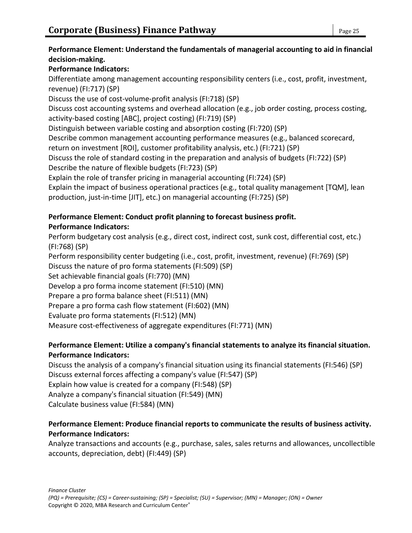# **Performance Element: Understand the fundamentals of managerial accounting to aid in financial decision-making.**

# **Performance Indicators:**

Differentiate among management accounting responsibility centers (i.e., cost, profit, investment, revenue) (FI:717) (SP)

Discuss the use of cost-volume-profit analysis (FI:718) (SP)

Discuss cost accounting systems and overhead allocation (e.g., job order costing, process costing, activity-based costing [ABC], project costing) (FI:719) (SP)

Distinguish between variable costing and absorption costing (FI:720) (SP)

Describe common management accounting performance measures (e.g., balanced scorecard, return on investment [ROI], customer profitability analysis, etc.) (FI:721) (SP)

Discuss the role of standard costing in the preparation and analysis of budgets (FI:722) (SP) Describe the nature of flexible budgets (FI:723) (SP)

Explain the role of transfer pricing in managerial accounting (FI:724) (SP)

Explain the impact of business operational practices (e.g., total quality management [TQM], lean production, just-in-time [JIT], etc.) on managerial accounting (FI:725) (SP)

# **Performance Element: Conduct profit planning to forecast business profit.**

# **Performance Indicators:**

Perform budgetary cost analysis (e.g., direct cost, indirect cost, sunk cost, differential cost, etc.) (FI:768) (SP)

Perform responsibility center budgeting (i.e., cost, profit, investment, revenue) (FI:769) (SP)

Discuss the nature of pro forma statements (FI:509) (SP)

Set achievable financial goals (FI:770) (MN)

Develop a pro forma income statement (FI:510) (MN)

Prepare a pro forma balance sheet (FI:511) (MN)

Prepare a pro forma cash flow statement (FI:602) (MN)

Evaluate pro forma statements (FI:512) (MN)

Measure cost-effectiveness of aggregate expenditures (FI:771) (MN)

# **Performance Element: Utilize a company's financial statements to analyze its financial situation. Performance Indicators:**

Discuss the analysis of a company's financial situation using its financial statements (FI:546) (SP) Discuss external forces affecting a company's value (FI:547) (SP) Explain how value is created for a company (FI:548) (SP) Analyze a company's financial situation (FI:549) (MN) Calculate business value (FI:584) (MN)

# **Performance Element: Produce financial reports to communicate the results of business activity. Performance Indicators:**

Analyze transactions and accounts (e.g., purchase, sales, sales returns and allowances, uncollectible accounts, depreciation, debt) (FI:449) (SP)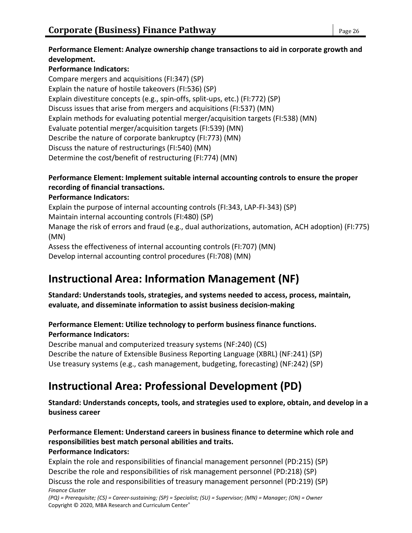### **Performance Element: Analyze ownership change transactions to aid in corporate growth and development.**

# **Performance Indicators:**

Compare mergers and acquisitions (FI:347) (SP) Explain the nature of hostile takeovers (FI:536) (SP) Explain divestiture concepts (e.g., spin-offs, split-ups, etc.) (FI:772) (SP) Discuss issues that arise from mergers and acquisitions (FI:537) (MN) Explain methods for evaluating potential merger/acquisition targets (FI:538) (MN) Evaluate potential merger/acquisition targets (FI:539) (MN) Describe the nature of corporate bankruptcy (FI:773) (MN) Discuss the nature of restructurings (FI:540) (MN) Determine the cost/benefit of restructuring (FI:774) (MN)

# **Performance Element: Implement suitable internal accounting controls to ensure the proper recording of financial transactions.**

# **Performance Indicators:**

Explain the purpose of internal accounting controls (FI:343, LAP-FI-343) (SP)

Maintain internal accounting controls (FI:480) (SP)

Manage the risk of errors and fraud (e.g., dual authorizations, automation, ACH adoption) (FI:775) (MN)

Assess the effectiveness of internal accounting controls (FI:707) (MN)

Develop internal accounting control procedures (FI:708) (MN)

# **Instructional Area: Information Management (NF)**

**Standard: Understands tools, strategies, and systems needed to access, process, maintain, evaluate, and disseminate information to assist business decision-making**

# **Performance Element: Utilize technology to perform business finance functions.**

# **Performance Indicators:**

Describe manual and computerized treasury systems (NF:240) (CS) Describe the nature of Extensible Business Reporting Language (XBRL) (NF:241) (SP) Use treasury systems (e.g., cash management, budgeting, forecasting) (NF:242) (SP)

# **Instructional Area: Professional Development (PD)**

**Standard: Understands concepts, tools, and strategies used to explore, obtain, and develop in a business career**

#### **Performance Element: Understand careers in business finance to determine which role and responsibilities best match personal abilities and traits. Performance Indicators:**

*Finance Cluster (PQ) = Prerequisite; (CS) = Career-sustaining; (SP) = Specialist; (SU) = Supervisor; (MN) = Manager; (ON) = Owner* Explain the role and responsibilities of financial management personnel (PD:215) (SP) Describe the role and responsibilities of risk management personnel (PD:218) (SP) Discuss the role and responsibilities of treasury management personnel (PD:219) (SP)

Copyright © 2020, MBA Research and Curriculum Center®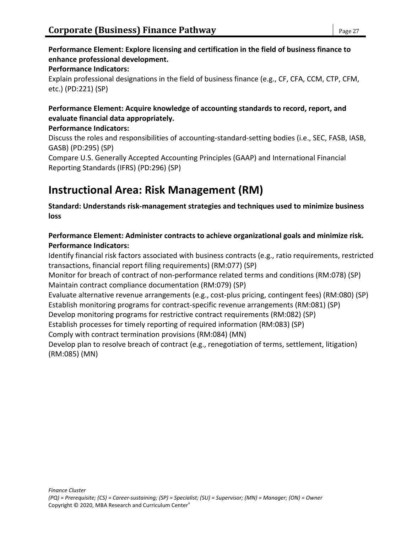### **Performance Element: Explore licensing and certification in the field of business finance to enhance professional development.**

#### **Performance Indicators:**

Explain professional designations in the field of business finance (e.g., CF, CFA, CCM, CTP, CFM, etc.) (PD:221) (SP)

# **Performance Element: Acquire knowledge of accounting standards to record, report, and evaluate financial data appropriately.**

### **Performance Indicators:**

Discuss the roles and responsibilities of accounting-standard-setting bodies (i.e., SEC, FASB, IASB, GASB) (PD:295) (SP)

Compare U.S. Generally Accepted Accounting Principles (GAAP) and International Financial Reporting Standards (IFRS) (PD:296) (SP)

# **Instructional Area: Risk Management (RM)**

**Standard: Understands risk-management strategies and techniques used to minimize business loss**

# **Performance Element: Administer contracts to achieve organizational goals and minimize risk. Performance Indicators:**

Identify financial risk factors associated with business contracts (e.g., ratio requirements, restricted transactions, financial report filing requirements) (RM:077) (SP)

Monitor for breach of contract of non-performance related terms and conditions (RM:078) (SP) Maintain contract compliance documentation (RM:079) (SP)

Evaluate alternative revenue arrangements (e.g., cost-plus pricing, contingent fees) (RM:080) (SP) Establish monitoring programs for contract-specific revenue arrangements (RM:081) (SP)

Develop monitoring programs for restrictive contract requirements (RM:082) (SP)

Establish processes for timely reporting of required information (RM:083) (SP)

Comply with contract termination provisions (RM:084) (MN)

Develop plan to resolve breach of contract (e.g., renegotiation of terms, settlement, litigation) (RM:085) (MN)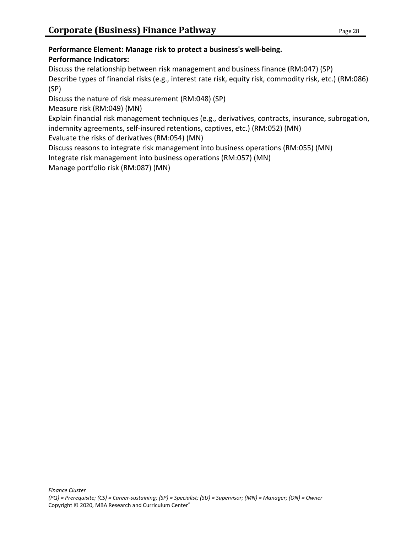#### **Performance Element: Manage risk to protect a business's well-being. Performance Indicators:**

Discuss the relationship between risk management and business finance (RM:047) (SP)

Describe types of financial risks (e.g., interest rate risk, equity risk, commodity risk, etc.) (RM:086) (SP)

Discuss the nature of risk measurement (RM:048) (SP)

Measure risk (RM:049) (MN)

Explain financial risk management techniques (e.g., derivatives, contracts, insurance, subrogation, indemnity agreements, self-insured retentions, captives, etc.) (RM:052) (MN)

Evaluate the risks of derivatives (RM:054) (MN)

Discuss reasons to integrate risk management into business operations (RM:055) (MN)

Integrate risk management into business operations (RM:057) (MN)

Manage portfolio risk (RM:087) (MN)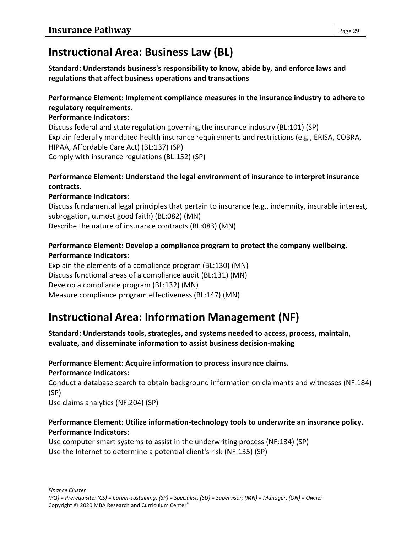# **Instructional Area: Business Law (BL)**

**Standard: Understands business's responsibility to know, abide by, and enforce laws and regulations that affect business operations and transactions**

# **Performance Element: Implement compliance measures in the insurance industry to adhere to regulatory requirements.**

### **Performance Indicators:**

Discuss federal and state regulation governing the insurance industry (BL:101) (SP) Explain federally mandated health insurance requirements and restrictions (e.g., ERISA, COBRA, HIPAA, Affordable Care Act) (BL:137) (SP) Comply with insurance regulations (BL:152) (SP)

### **Performance Element: Understand the legal environment of insurance to interpret insurance contracts.**

# **Performance Indicators:**

Discuss fundamental legal principles that pertain to insurance (e.g., indemnity, insurable interest, subrogation, utmost good faith) (BL:082) (MN) Describe the nature of insurance contracts (BL:083) (MN)

# **Performance Element: Develop a compliance program to protect the company wellbeing. Performance Indicators:**

Explain the elements of a compliance program (BL:130) (MN) Discuss functional areas of a compliance audit (BL:131) (MN) Develop a compliance program (BL:132) (MN) Measure compliance program effectiveness (BL:147) (MN)

# **Instructional Area: Information Management (NF)**

**Standard: Understands tools, strategies, and systems needed to access, process, maintain, evaluate, and disseminate information to assist business decision-making**

#### **Performance Element: Acquire information to process insurance claims. Performance Indicators:**

Conduct a database search to obtain background information on claimants and witnesses (NF:184) (SP)

Use claims analytics (NF:204) (SP)

### **Performance Element: Utilize information-technology tools to underwrite an insurance policy. Performance Indicators:**

Use computer smart systems to assist in the underwriting process (NF:134) (SP) Use the Internet to determine a potential client's risk (NF:135) (SP)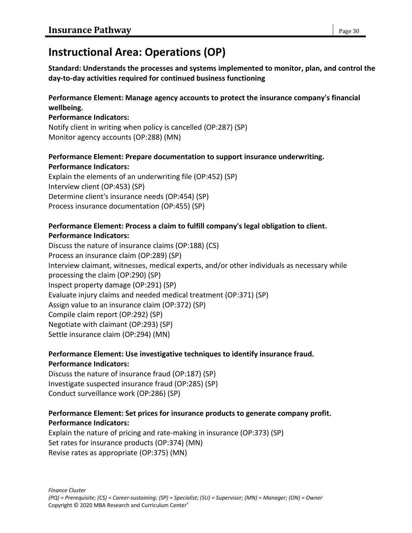# **Instructional Area: Operations (OP)**

**Standard: Understands the processes and systems implemented to monitor, plan, and control the day-to-day activities required for continued business functioning**

# **Performance Element: Manage agency accounts to protect the insurance company's financial wellbeing.**

### **Performance Indicators:**

Notify client in writing when policy is cancelled (OP:287) (SP) Monitor agency accounts (OP:288) (MN)

# **Performance Element: Prepare documentation to support insurance underwriting. Performance Indicators:**

Explain the elements of an underwriting file (OP:452) (SP) Interview client (OP:453) (SP) Determine client's insurance needs (OP:454) (SP) Process insurance documentation (OP:455) (SP)

# **Performance Element: Process a claim to fulfill company's legal obligation to client. Performance Indicators:**

Discuss the nature of insurance claims (OP:188) (CS) Process an insurance claim (OP:289) (SP) Interview claimant, witnesses, medical experts, and/or other individuals as necessary while processing the claim (OP:290) (SP) Inspect property damage (OP:291) (SP) Evaluate injury claims and needed medical treatment (OP:371) (SP) Assign value to an insurance claim (OP:372) (SP) Compile claim report (OP:292) (SP) Negotiate with claimant (OP:293) (SP) Settle insurance claim (OP:294) (MN)

# **Performance Element: Use investigative techniques to identify insurance fraud. Performance Indicators:**

Discuss the nature of insurance fraud (OP:187) (SP) Investigate suspected insurance fraud (OP:285) (SP) Conduct surveillance work (OP:286) (SP)

# **Performance Element: Set prices for insurance products to generate company profit. Performance Indicators:**

Explain the nature of pricing and rate-making in insurance (OP:373) (SP) Set rates for insurance products (OP:374) (MN) Revise rates as appropriate (OP:375) (MN)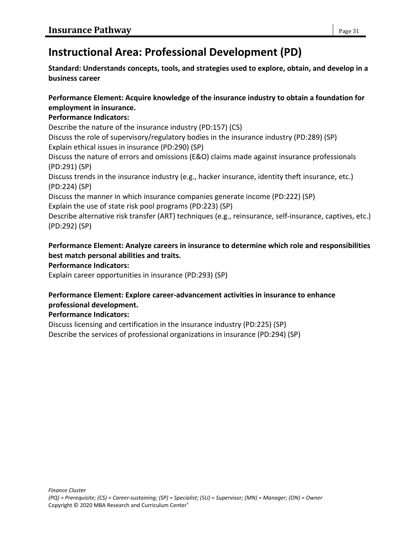# **Instructional Area: Professional Development (PD)**

**Standard: Understands concepts, tools, and strategies used to explore, obtain, and develop in a business career**

### **Performance Element: Acquire knowledge of the insurance industry to obtain a foundation for employment in insurance.**

# **Performance Indicators:**

Describe the nature of the insurance industry (PD:157) (CS)

Discuss the role of supervisory/regulatory bodies in the insurance industry (PD:289) (SP) Explain ethical issues in insurance (PD:290) (SP)

Discuss the nature of errors and omissions (E&O) claims made against insurance professionals (PD:291) (SP)

Discuss trends in the insurance industry (e.g., hacker insurance, identity theft insurance, etc.) (PD:224) (SP)

Discuss the manner in which insurance companies generate income (PD:222) (SP) Explain the use of state risk pool programs (PD:223) (SP)

Describe alternative risk transfer (ART) techniques (e.g., reinsurance, self-insurance, captives, etc.) (PD:292) (SP)

# **Performance Element: Analyze careers in insurance to determine which role and responsibilities best match personal abilities and traits.**

**Performance Indicators:**

Explain career opportunities in insurance (PD:293) (SP)

# **Performance Element: Explore career-advancement activities in insurance to enhance professional development.**

# **Performance Indicators:**

Discuss licensing and certification in the insurance industry (PD:225) (SP) Describe the services of professional organizations in insurance (PD:294) (SP)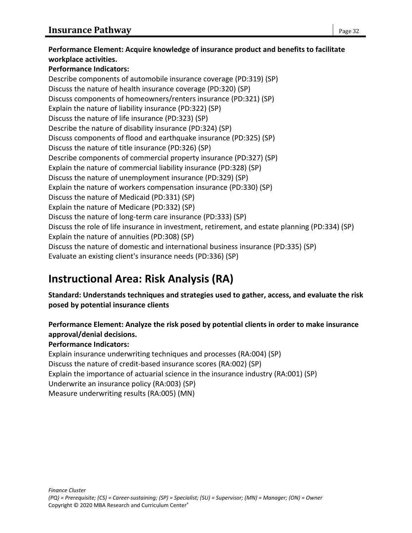**Performance Element: Acquire knowledge of insurance product and benefits to facilitate workplace activities. Performance Indicators:** Describe components of automobile insurance coverage (PD:319) (SP) Discuss the nature of health insurance coverage (PD:320) (SP) Discuss components of homeowners/renters insurance (PD:321) (SP) Explain the nature of liability insurance (PD:322) (SP) Discuss the nature of life insurance (PD:323) (SP) Describe the nature of disability insurance (PD:324) (SP) Discuss components of flood and earthquake insurance (PD:325) (SP) Discuss the nature of title insurance (PD:326) (SP) Describe components of commercial property insurance (PD:327) (SP) Explain the nature of commercial liability insurance (PD:328) (SP) Discuss the nature of unemployment insurance (PD:329) (SP) Explain the nature of workers compensation insurance (PD:330) (SP) Discuss the nature of Medicaid (PD:331) (SP) Explain the nature of Medicare (PD:332) (SP) Discuss the nature of long-term care insurance (PD:333) (SP) Discuss the role of life insurance in investment, retirement, and estate planning (PD:334) (SP) Explain the nature of annuities (PD:308) (SP) Discuss the nature of domestic and international business insurance (PD:335) (SP) Evaluate an existing client's insurance needs (PD:336) (SP)

# **Instructional Area: Risk Analysis (RA)**

**Standard: Understands techniques and strategies used to gather, access, and evaluate the risk posed by potential insurance clients**

**Performance Element: Analyze the risk posed by potential clients in order to make insurance approval/denial decisions.**

#### **Performance Indicators:**

Explain insurance underwriting techniques and processes (RA:004) (SP) Discuss the nature of credit-based insurance scores (RA:002) (SP) Explain the importance of actuarial science in the insurance industry (RA:001) (SP) Underwrite an insurance policy (RA:003) (SP) Measure underwriting results (RA:005) (MN)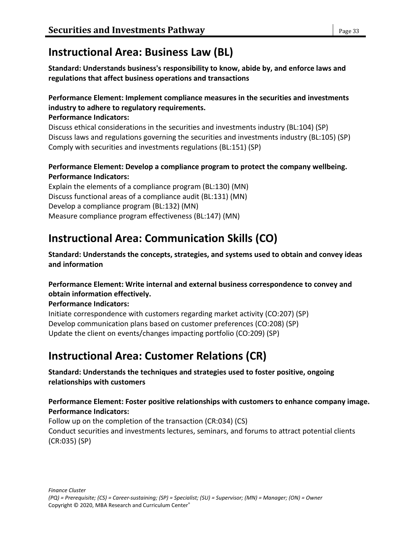# **Instructional Area: Business Law (BL)**

**Standard: Understands business's responsibility to know, abide by, and enforce laws and regulations that affect business operations and transactions**

# **Performance Element: Implement compliance measures in the securities and investments industry to adhere to regulatory requirements.**

### **Performance Indicators:**

Discuss ethical considerations in the securities and investments industry (BL:104) (SP) Discuss laws and regulations governing the securities and investments industry (BL:105) (SP) Comply with securities and investments regulations (BL:151) (SP)

# **Performance Element: Develop a compliance program to protect the company wellbeing. Performance Indicators:**

Explain the elements of a compliance program (BL:130) (MN) Discuss functional areas of a compliance audit (BL:131) (MN) Develop a compliance program (BL:132) (MN) Measure compliance program effectiveness (BL:147) (MN)

# **Instructional Area: Communication Skills (CO)**

**Standard: Understands the concepts, strategies, and systems used to obtain and convey ideas and information**

### **Performance Element: Write internal and external business correspondence to convey and obtain information effectively.**

**Performance Indicators:**

Initiate correspondence with customers regarding market activity (CO:207) (SP) Develop communication plans based on customer preferences (CO:208) (SP) Update the client on events/changes impacting portfolio (CO:209) (SP)

# **Instructional Area: Customer Relations (CR)**

# **Standard: Understands the techniques and strategies used to foster positive, ongoing relationships with customers**

# **Performance Element: Foster positive relationships with customers to enhance company image. Performance Indicators:**

Follow up on the completion of the transaction (CR:034) (CS) Conduct securities and investments lectures, seminars, and forums to attract potential clients (CR:035) (SP)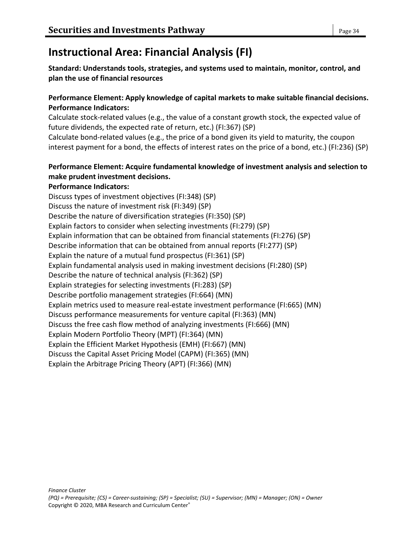# **Instructional Area: Financial Analysis (FI)**

**Standard: Understands tools, strategies, and systems used to maintain, monitor, control, and plan the use of financial resources**

### **Performance Element: Apply knowledge of capital markets to make suitable financial decisions. Performance Indicators:**

Calculate stock-related values (e.g., the value of a constant growth stock, the expected value of future dividends, the expected rate of return, etc.) (FI:367) (SP)

Calculate bond-related values (e.g., the price of a bond given its yield to maturity, the coupon interest payment for a bond, the effects of interest rates on the price of a bond, etc.) (FI:236) (SP)

# **Performance Element: Acquire fundamental knowledge of investment analysis and selection to make prudent investment decisions.**

### **Performance Indicators:**

Discuss types of investment objectives (FI:348) (SP) Discuss the nature of investment risk (FI:349) (SP) Describe the nature of diversification strategies (FI:350) (SP) Explain factors to consider when selecting investments (FI:279) (SP) Explain information that can be obtained from financial statements (FI:276) (SP) Describe information that can be obtained from annual reports (FI:277) (SP) Explain the nature of a mutual fund prospectus (FI:361) (SP) Explain fundamental analysis used in making investment decisions (FI:280) (SP) Describe the nature of technical analysis (FI:362) (SP) Explain strategies for selecting investments (FI:283) (SP) Describe portfolio management strategies (FI:664) (MN) Explain metrics used to measure real-estate investment performance (FI:665) (MN) Discuss performance measurements for venture capital (FI:363) (MN) Discuss the free cash flow method of analyzing investments (FI:666) (MN) Explain Modern Portfolio Theory (MPT) (FI:364) (MN) Explain the Efficient Market Hypothesis (EMH) (FI:667) (MN) Discuss the Capital Asset Pricing Model (CAPM) (FI:365) (MN) Explain the Arbitrage Pricing Theory (APT) (FI:366) (MN)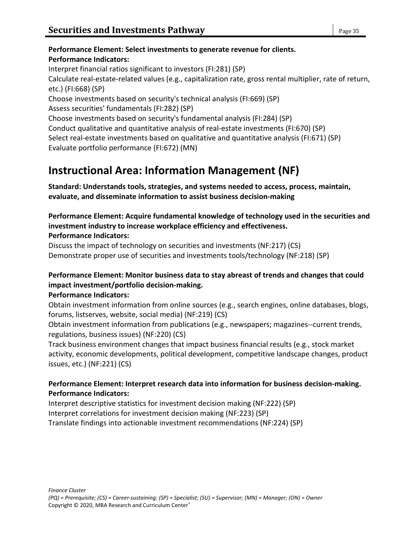# **Performance Element: Select investments to generate revenue for clients. Performance Indicators:** Interpret financial ratios significant to investors (FI:281) (SP) Calculate real-estate-related values (e.g., capitalization rate, gross rental multiplier, rate of return, etc.) (FI:668) (SP) Choose investments based on security's technical analysis (FI:669) (SP) Assess securities' fundamentals (FI:282) (SP) Choose investments based on security's fundamental analysis (FI:284) (SP) Conduct qualitative and quantitative analysis of real-estate investments (FI:670) (SP) Select real-estate investments based on qualitative and quantitative analysis (FI:671) (SP) Evaluate portfolio performance (FI:672) (MN)

# **Instructional Area: Information Management (NF)**

**Standard: Understands tools, strategies, and systems needed to access, process, maintain, evaluate, and disseminate information to assist business decision-making**

#### **Performance Element: Acquire fundamental knowledge of technology used in the securities and investment industry to increase workplace efficiency and effectiveness. Performance Indicators:**

Discuss the impact of technology on securities and investments (NF:217) (CS) Demonstrate proper use of securities and investments tools/technology (NF:218) (SP)

# **Performance Element: Monitor business data to stay abreast of trends and changes that could impact investment/portfolio decision-making.**

#### **Performance Indicators:**

Obtain investment information from online sources (e.g., search engines, online databases, blogs, forums, listserves, website, social media) (NF:219) (CS)

Obtain investment information from publications (e.g., newspapers; magazines--current trends, regulations, business issues) (NF:220) (CS)

Track business environment changes that impact business financial results (e.g., stock market activity, economic developments, political development, competitive landscape changes, product issues, etc.) (NF:221) (CS)

# **Performance Element: Interpret research data into information for business decision-making. Performance Indicators:**

Interpret descriptive statistics for investment decision making (NF:222) (SP) Interpret correlations for investment decision making (NF:223) (SP) Translate findings into actionable investment recommendations (NF:224) (SP)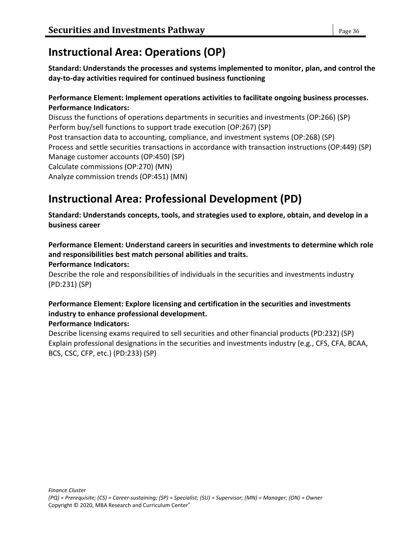# **Instructional Area: Operations (OP)**

**Standard: Understands the processes and systems implemented to monitor, plan, and control the day-to-day activities required for continued business functioning**

### **Performance Element: Implement operations activities to facilitate ongoing business processes. Performance Indicators:**

Discuss the functions of operations departments in securities and investments (OP:266) (SP) Perform buy/sell functions to support trade execution (OP:267) (SP) Post transaction data to accounting, compliance, and investment systems (OP:268) (SP) Process and settle securities transactions in accordance with transaction instructions (OP:449) (SP) Manage customer accounts (OP:450) (SP) Calculate commissions (OP:270) (MN) Analyze commission trends (OP:451) (MN)

# **Instructional Area: Professional Development (PD)**

**Standard: Understands concepts, tools, and strategies used to explore, obtain, and develop in a business career**

**Performance Element: Understand careers in securities and investments to determine which role and responsibilities best match personal abilities and traits.**

#### **Performance Indicators:**

Describe the role and responsibilities of individuals in the securities and investments industry (PD:231) (SP)

# **Performance Element: Explore licensing and certification in the securities and investments industry to enhance professional development.**

#### **Performance Indicators:**

Describe licensing exams required to sell securities and other financial products (PD:232) (SP) Explain professional designations in the securities and investments industry (e.g., CFS, CFA, BCAA, BCS, CSC, CFP, etc.) (PD:233) (SP)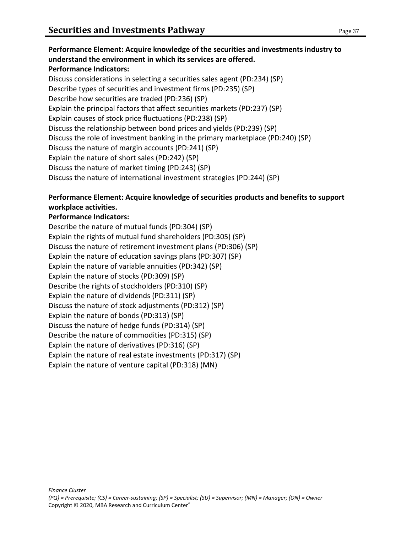**Performance Element: Acquire knowledge of the securities and investments industry to understand the environment in which its services are offered. Performance Indicators:** Discuss considerations in selecting a securities sales agent (PD:234) (SP) Describe types of securities and investment firms (PD:235) (SP) Describe how securities are traded (PD:236) (SP) Explain the principal factors that affect securities markets (PD:237) (SP) Explain causes of stock price fluctuations (PD:238) (SP) Discuss the relationship between bond prices and yields (PD:239) (SP) Discuss the role of investment banking in the primary marketplace (PD:240) (SP) Discuss the nature of margin accounts (PD:241) (SP) Explain the nature of short sales (PD:242) (SP) Discuss the nature of market timing (PD:243) (SP) Discuss the nature of international investment strategies (PD:244) (SP)

# **Performance Element: Acquire knowledge of securities products and benefits to support workplace activities.**

# **Performance Indicators:**

Describe the nature of mutual funds (PD:304) (SP) Explain the rights of mutual fund shareholders (PD:305) (SP) Discuss the nature of retirement investment plans (PD:306) (SP) Explain the nature of education savings plans (PD:307) (SP) Explain the nature of variable annuities (PD:342) (SP) Explain the nature of stocks (PD:309) (SP) Describe the rights of stockholders (PD:310) (SP) Explain the nature of dividends (PD:311) (SP) Discuss the nature of stock adjustments (PD:312) (SP) Explain the nature of bonds (PD:313) (SP) Discuss the nature of hedge funds (PD:314) (SP) Describe the nature of commodities (PD:315) (SP) Explain the nature of derivatives (PD:316) (SP) Explain the nature of real estate investments (PD:317) (SP) Explain the nature of venture capital (PD:318) (MN)